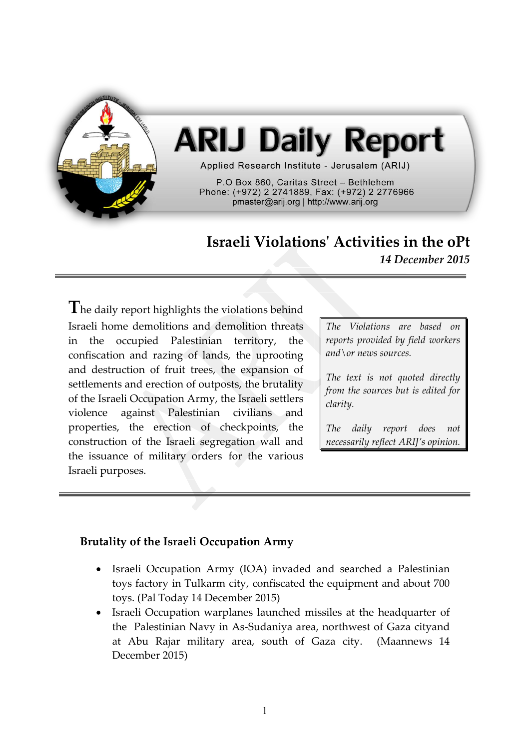

# **ARIJ Daily Report**

Applied Research Institute - Jerusalem (ARIJ)

P.O Box 860, Caritas Street - Bethlehem Phone: (+972) 2 2741889, Fax: (+972) 2 2776966 pmaster@arij.org | http://www.arij.org

# **Israeli Violations' Activities in the oPt** *14 December 2015*

**T**he daily report highlights the violations behind Israeli home demolitions and demolition threats in the occupied Palestinian territory, the confiscation and razing of lands, the uprooting and destruction of fruit trees, the expansion of settlements and erection of outposts, the brutality of the Israeli Occupation Army, the Israeli settlers violence against Palestinian civilians and properties, the erection of checkpoints, the construction of the Israeli segregation wall and the issuance of military orders for the various Israeli purposes.

*The Violations are based on reports provided by field workers and\or news sources.*

*The text is not quoted directly from the sources but is edited for clarity.*

*The daily report does not necessarily reflect ARIJ's opinion.*

# **Brutality of the Israeli Occupation Army**

- Israeli Occupation Army (IOA) invaded and searched a Palestinian toys factory in Tulkarm city, confiscated the equipment and about 700 toys. (Pal Today 14 December 2015)
- Israeli Occupation warplanes launched missiles at the headquarter of the Palestinian Navy in As-Sudaniya area, northwest of Gaza cityand at Abu Rajar military area, south of Gaza city. (Maannews 14 December 2015)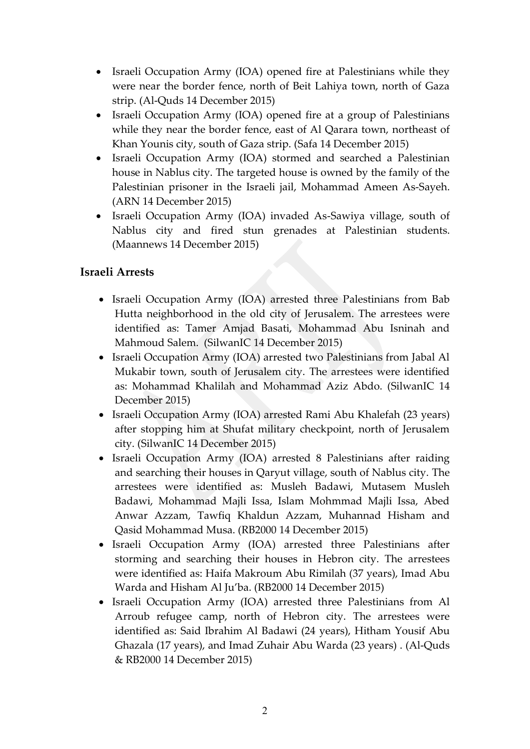- Israeli Occupation Army (IOA) opened fire at Palestinians while they were near the border fence, north of Beit Lahiya town, north of Gaza strip. (Al-Quds 14 December 2015)
- Israeli Occupation Army (IOA) opened fire at a group of Palestinians while they near the border fence, east of Al Qarara town, northeast of Khan Younis city, south of Gaza strip. (Safa 14 December 2015)
- Israeli Occupation Army (IOA) stormed and searched a Palestinian house in Nablus city. The targeted house is owned by the family of the Palestinian prisoner in the Israeli jail, Mohammad Ameen As-Sayeh. (ARN 14 December 2015)
- Israeli Occupation Army (IOA) invaded As-Sawiya village, south of Nablus city and fired stun grenades at Palestinian students. (Maannews 14 December 2015)

#### **Israeli Arrests**

- Israeli Occupation Army (IOA) arrested three Palestinians from Bab Hutta neighborhood in the old city of Jerusalem. The arrestees were identified as: Tamer Amjad Basati, Mohammad Abu Isninah and Mahmoud Salem. (SilwanIC 14 December 2015)
- Israeli Occupation Army (IOA) arrested two Palestinians from Jabal Al Mukabir town, south of Jerusalem city. The arrestees were identified as: Mohammad Khalilah and Mohammad Aziz Abdo. (SilwanIC 14 December 2015)
- Israeli Occupation Army (IOA) arrested Rami Abu Khalefah (23 years) after stopping him at Shufat military checkpoint, north of Jerusalem city. (SilwanIC 14 December 2015)
- Israeli Occupation Army (IOA) arrested 8 Palestinians after raiding and searching their houses in Qaryut village, south of Nablus city. The arrestees were identified as: Musleh Badawi, Mutasem Musleh Badawi, Mohammad Majli Issa, Islam Mohmmad Majli Issa, Abed Anwar Azzam, Tawfiq Khaldun Azzam, Muhannad Hisham and Qasid Mohammad Musa. (RB2000 14 December 2015)
- Israeli Occupation Army (IOA) arrested three Palestinians after storming and searching their houses in Hebron city. The arrestees were identified as: Haifa Makroum Abu Rimilah (37 years), Imad Abu Warda and Hisham Al Ju'ba. (RB2000 14 December 2015)
- Israeli Occupation Army (IOA) arrested three Palestinians from Al Arroub refugee camp, north of Hebron city. The arrestees were identified as: Said Ibrahim Al Badawi (24 years), Hitham Yousif Abu Ghazala (17 years), and Imad Zuhair Abu Warda (23 years) . (Al-Quds & RB2000 14 December 2015)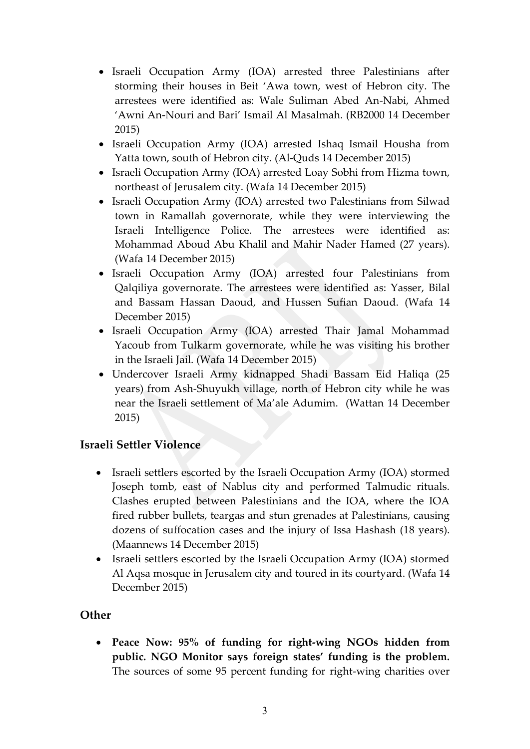- Israeli Occupation Army (IOA) arrested three Palestinians after storming their houses in Beit 'Awa town, west of Hebron city. The arrestees were identified as: Wale Suliman Abed An-Nabi, Ahmed 'Awni An-Nouri and Bari' Ismail Al Masalmah. (RB2000 14 December 2015)
- Israeli Occupation Army (IOA) arrested Ishaq Ismail Housha from Yatta town, south of Hebron city. (Al-Quds 14 December 2015)
- Israeli Occupation Army (IOA) arrested Loay Sobhi from Hizma town, northeast of Jerusalem city. (Wafa 14 December 2015)
- Israeli Occupation Army (IOA) arrested two Palestinians from Silwad town in Ramallah governorate, while they were interviewing the Israeli Intelligence Police. The arrestees were identified as: Mohammad Aboud Abu Khalil and Mahir Nader Hamed (27 years). (Wafa 14 December 2015)
- Israeli Occupation Army (IOA) arrested four Palestinians from Qalqiliya governorate. The arrestees were identified as: Yasser, Bilal and Bassam Hassan Daoud, and Hussen Sufian Daoud. (Wafa 14 December 2015)
- Israeli Occupation Army (IOA) arrested Thair Jamal Mohammad Yacoub from Tulkarm governorate, while he was visiting his brother in the Israeli Jail. (Wafa 14 December 2015)
- Undercover Israeli Army kidnapped Shadi Bassam Eid Haliqa (25 years) from Ash-Shuyukh village, north of Hebron city while he was near the Israeli settlement of Ma'ale Adumim. (Wattan 14 December 2015)

# **Israeli Settler Violence**

- Israeli settlers escorted by the Israeli Occupation Army (IOA) stormed Joseph tomb, east of Nablus city and performed Talmudic rituals. Clashes erupted between Palestinians and the IOA, where the IOA fired rubber bullets, teargas and stun grenades at Palestinians, causing dozens of suffocation cases and the injury of Issa Hashash (18 years). (Maannews 14 December 2015)
- Israeli settlers escorted by the Israeli Occupation Army (IOA) stormed Al Aqsa mosque in Jerusalem city and toured in its courtyard. (Wafa 14 December 2015)

# **Other**

 **Peace Now: 95% of funding for right-wing NGOs hidden from public. NGO Monitor says foreign states' funding is the problem.** The sources of some 95 percent funding for right-wing charities over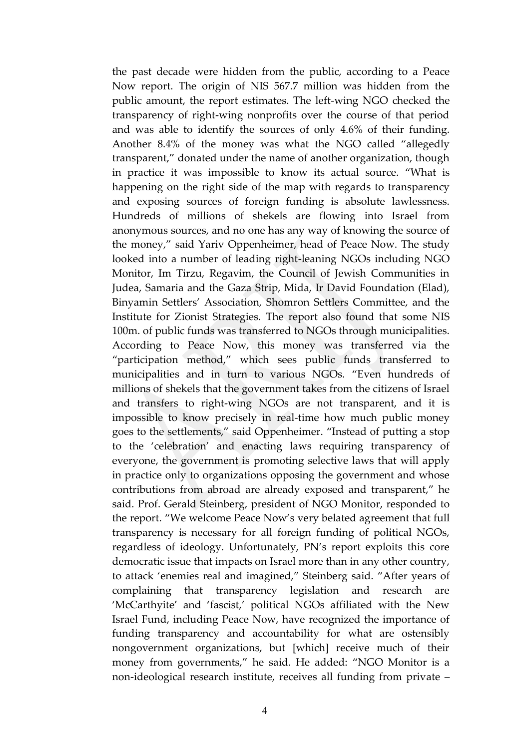the past decade were hidden from the public, according to a Peace Now report. The origin of NIS 567.7 million was hidden from the public amount, the report estimates. The left-wing NGO checked the transparency of right-wing nonprofits over the course of that period and was able to identify the sources of only 4.6% of their funding. Another 8.4% of the money was what the NGO called "allegedly transparent," donated under the name of another organization, though in practice it was impossible to know its actual source. "What is happening on the right side of the map with regards to transparency and exposing sources of foreign funding is absolute lawlessness. Hundreds of millions of shekels are flowing into Israel from anonymous sources, and no one has any way of knowing the source of the money," said Yariv Oppenheimer, head of Peace Now. The study looked into a number of leading right-leaning NGOs including NGO Monitor, Im Tirzu, Regavim, the Council of Jewish Communities in Judea, Samaria and the Gaza Strip, Mida, Ir David Foundation (Elad), Binyamin Settlers' Association, Shomron Settlers Committee, and the Institute for Zionist Strategies. The report also found that some NIS 100m. of public funds was transferred to NGOs through municipalities. According to Peace Now, this money was transferred via the "participation method," which sees public funds transferred to municipalities and in turn to various NGOs. "Even hundreds of millions of shekels that the government takes from the citizens of Israel and transfers to right-wing NGOs are not transparent, and it is impossible to know precisely in real-time how much public money goes to the settlements," said Oppenheimer. "Instead of putting a stop to the 'celebration' and enacting laws requiring transparency of everyone, the government is promoting selective laws that will apply in practice only to organizations opposing the government and whose contributions from abroad are already exposed and transparent," he said. Prof. Gerald Steinberg, president of NGO Monitor, responded to the report. "We welcome Peace Now's very belated agreement that full transparency is necessary for all foreign funding of political NGOs, regardless of ideology. Unfortunately, PN's report exploits this core democratic issue that impacts on Israel more than in any other country, to attack 'enemies real and imagined," Steinberg said. "After years of complaining that transparency legislation and research are 'McCarthyite' and 'fascist,' political NGOs affiliated with the New Israel Fund, including Peace Now, have recognized the importance of funding transparency and accountability for what are ostensibly nongovernment organizations, but [which] receive much of their money from governments," he said. He added: "NGO Monitor is a non-ideological research institute, receives all funding from private –